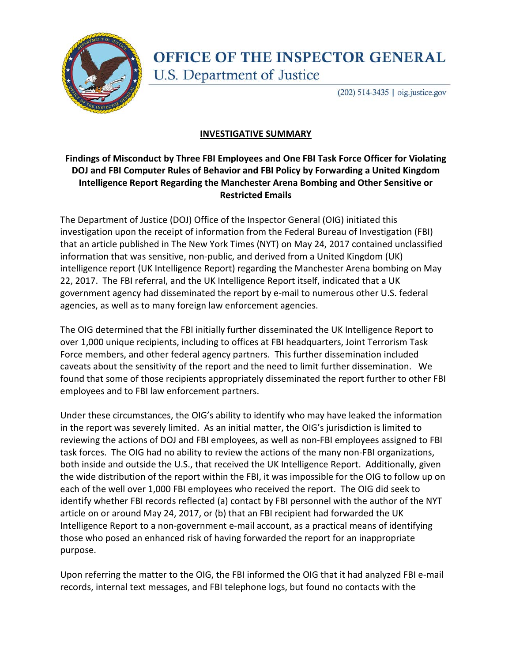

## **OFFICE OF THE INSPECTOR GENERAL** U.S. Department of Justice

(202) 514-3435 | oig.justice.gov

## **INVESTIGATIVE SUMMARY**

## **Findings of Misconduct by Three FBI Employees and One FBI Task Force Officer for Violating DOJ and FBI Computer Rules of Behavior and FBI Policy by Forwarding a United Kingdom Intelligence Report Regarding the Manchester Arena Bombing and Other Sensitive or Restricted Emails**

The Department of Justice (DOJ) Office of the Inspector General (OIG) initiated this investigation upon the receipt of information from the Federal Bureau of Investigation (FBI) that an article published in The New York Times (NYT) on May 24, 2017 contained unclassified information that was sensitive, non-public, and derived from a United Kingdom (UK) intelligence report (UK Intelligence Report) regarding the Manchester Arena bombing on May 22, 2017. The FBI referral, and the UK Intelligence Report itself, indicated that a UK government agency had disseminated the report by e-mail to numerous other U.S. federal agencies, as well as to many foreign law enforcement agencies.

The OIG determined that the FBI initially further disseminated the UK Intelligence Report to over 1,000 unique recipients, including to offices at FBI headquarters, Joint Terrorism Task Force members, and other federal agency partners. This further dissemination included caveats about the sensitivity of the report and the need to limit further dissemination. We found that some of those recipients appropriately disseminated the report further to other FBI employees and to FBI law enforcement partners.

Under these circumstances, the OIG's ability to identify who may have leaked the information in the report was severely limited. As an initial matter, the OIG's jurisdiction is limited to reviewing the actions of DOJ and FBI employees, as well as non-FBI employees assigned to FBI task forces. The OIG had no ability to review the actions of the many non-FBI organizations, both inside and outside the U.S., that received the UK Intelligence Report. Additionally, given the wide distribution of the report within the FBI, it was impossible for the OIG to follow up on each of the well over 1,000 FBI employees who received the report. The OIG did seek to identify whether FBI records reflected (a) contact by FBI personnel with the author of the NYT article on or around May 24, 2017, or (b) that an FBI recipient had forwarded the UK Intelligence Report to a non-government e-mail account, as a practical means of identifying those who posed an enhanced risk of having forwarded the report for an inappropriate purpose.

Upon referring the matter to the OIG, the FBI informed the OIG that it had analyzed FBI e-mail records, internal text messages, and FBI telephone logs, but found no contacts with the